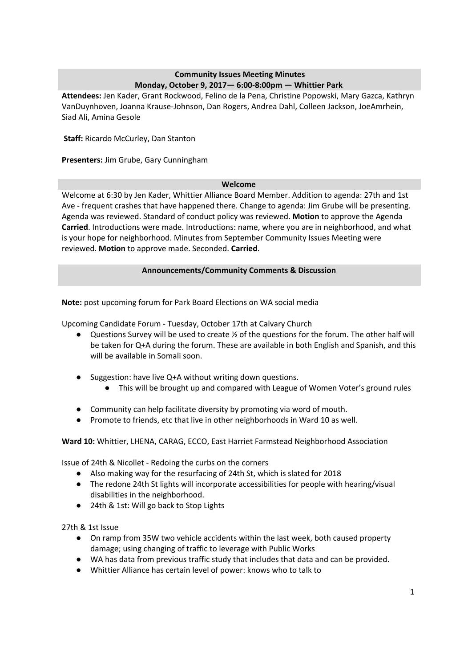# **Community Issues Meeting Minutes Monday, October 9, 2017— 6:00-8:00pm — Whittier Park**

**Attendees:** Jen Kader, Grant Rockwood, Felino de la Pena, Christine Popowski, Mary Gazca, Kathryn VanDuynhoven, Joanna Krause-Johnson, Dan Rogers, Andrea Dahl, Colleen Jackson, JoeAmrhein, Siad Ali, Amina Gesole

**Staff:** Ricardo McCurley, Dan Stanton

**Presenters:** Jim Grube, Gary Cunningham

### **Welcome**

Welcome at 6:30 by Jen Kader, Whittier Alliance Board Member. Addition to agenda: 27th and 1st Ave - frequent crashes that have happened there. Change to agenda: Jim Grube will be presenting. Agenda was reviewed. Standard of conduct policy was reviewed. **Motion** to approve the Agenda **Carried**. Introductions were made. Introductions: name, where you are in neighborhood, and what is your hope for neighborhood. Minutes from September Community Issues Meeting were reviewed. **Motion** to approve made. Seconded. **Carried**.

# **Announcements/Community Comments & Discussion**

**Note:** post upcoming forum for Park Board Elections on WA social media

Upcoming Candidate Forum - Tuesday, October 17th at Calvary Church

- Questions Survey will be used to create ½ of the questions for the forum. The other half will be taken for Q+A during the forum. These are available in both English and Spanish, and this will be available in Somali soon.
- Suggestion: have live Q+A without writing down questions.
	- This will be brought up and compared with League of Women Voter's ground rules
- Community can help facilitate diversity by promoting via word of mouth.
- Promote to friends, etc that live in other neighborhoods in Ward 10 as well.

**Ward 10:** Whittier, LHENA, CARAG, ECCO, East Harriet Farmstead Neighborhood Association

Issue of 24th & Nicollet - Redoing the curbs on the corners

- Also making way for the resurfacing of 24th St, which is slated for 2018
- The redone 24th St lights will incorporate accessibilities for people with hearing/visual disabilities in the neighborhood.
- 24th & 1st: Will go back to Stop Lights

27th & 1st Issue

- On ramp from 35W two vehicle accidents within the last week, both caused property damage; using changing of traffic to leverage with Public Works
- WA has data from previous traffic study that includes that data and can be provided.
- Whittier Alliance has certain level of power: knows who to talk to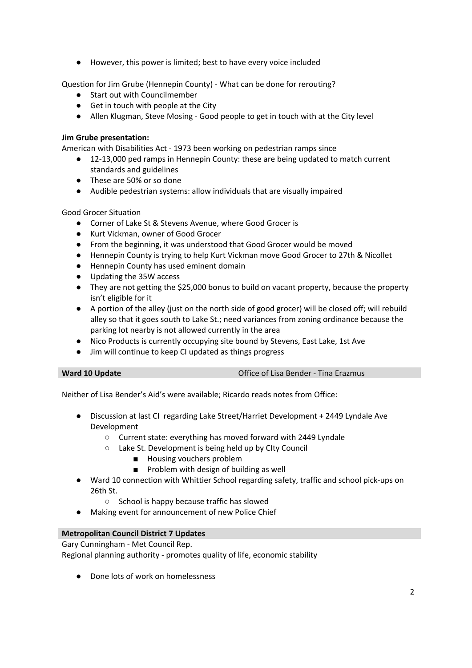● However, this power is limited; best to have every voice included

Question for Jim Grube (Hennepin County) - What can be done for rerouting?

- Start out with Councilmember
- Get in touch with people at the City
- Allen Klugman, Steve Mosing Good people to get in touch with at the City level

### **Jim Grube presentation:**

American with Disabilities Act - 1973 been working on pedestrian ramps since

- 12-13,000 ped ramps in Hennepin County: these are being updated to match current standards and guidelines
- These are 50% or so done
- Audible pedestrian systems: allow individuals that are visually impaired

Good Grocer Situation

- Corner of Lake St & Stevens Avenue, where Good Grocer is
- Kurt Vickman, owner of Good Grocer
- From the beginning, it was understood that Good Grocer would be moved
- Hennepin County is trying to help Kurt Vickman move Good Grocer to 27th & Nicollet
- Hennepin County has used eminent domain
- Updating the 35W access
- They are not getting the \$25,000 bonus to build on vacant property, because the property isn't eligible for it
- A portion of the alley (just on the north side of good grocer) will be closed off; will rebuild alley so that it goes south to Lake St.; need variances from zoning ordinance because the parking lot nearby is not allowed currently in the area
- Nico Products is currently occupying site bound by Stevens, East Lake, 1st Ave
- Jim will continue to keep CI updated as things progress

|  | Ward 10 Update |  |
|--|----------------|--|
|  |                |  |

**Office of Lisa Bender - Tina Erazmus** 

Neither of Lisa Bender's Aid's were available; Ricardo reads notes from Office:

- Discussion at last CI regarding Lake Street/Harriet Development + 2449 Lyndale Ave Development
	- Current state: everything has moved forward with 2449 Lyndale
	- Lake St. Development is being held up by CIty Council
		- Housing vouchers problem
		- Problem with design of building as well
- Ward 10 connection with Whittier School regarding safety, traffic and school pick-ups on 26th St.
	- School is happy because traffic has slowed
- Making event for announcement of new Police Chief

### **Metropolitan Council District 7 Updates**

Gary Cunningham - Met Council Rep. Regional planning authority - promotes quality of life, economic stability

● Done lots of work on homelessness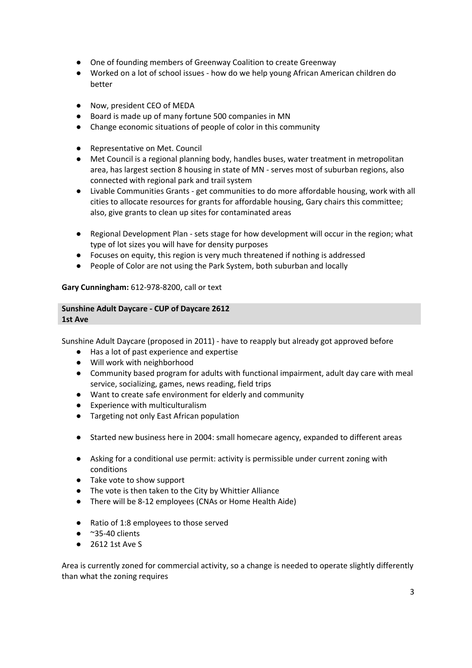- One of founding members of Greenway Coalition to create Greenway
- Worked on a lot of school issues how do we help young African American children do better
- Now, president CEO of MEDA
- Board is made up of many fortune 500 companies in MN
- Change economic situations of people of color in this community
- Representative on Met. Council
- Met Council is a regional planning body, handles buses, water treatment in metropolitan area, has largest section 8 housing in state of MN - serves most of suburban regions, also connected with regional park and trail system
- Livable Communities Grants get communities to do more affordable housing, work with all cities to allocate resources for grants for affordable housing, Gary chairs this committee; also, give grants to clean up sites for contaminated areas
- Regional Development Plan sets stage for how development will occur in the region; what type of lot sizes you will have for density purposes
- Focuses on equity, this region is very much threatened if nothing is addressed
- People of Color are not using the Park System, both suburban and locally

**Gary Cunningham:** 612-978-8200, call or text

#### **Sunshine Adult Daycare - CUP of Daycare 2612 1st Ave**

Sunshine Adult Daycare (proposed in 2011) - have to reapply but already got approved before

- Has a lot of past experience and expertise
- Will work with neighborhood
- Community based program for adults with functional impairment, adult day care with meal service, socializing, games, news reading, field trips
- Want to create safe environment for elderly and community
- Experience with multiculturalism
- Targeting not only East African population
- Started new business here in 2004: small homecare agency, expanded to different areas
- Asking for a conditional use permit: activity is permissible under current zoning with conditions
- Take vote to show support
- The vote is then taken to the City by Whittier Alliance
- There will be 8-12 employees (CNAs or Home Health Aide)
- Ratio of 1:8 employees to those served
- $\bullet$  ~35-40 clients
- 2612 1st Ave S

Area is currently zoned for commercial activity, so a change is needed to operate slightly differently than what the zoning requires